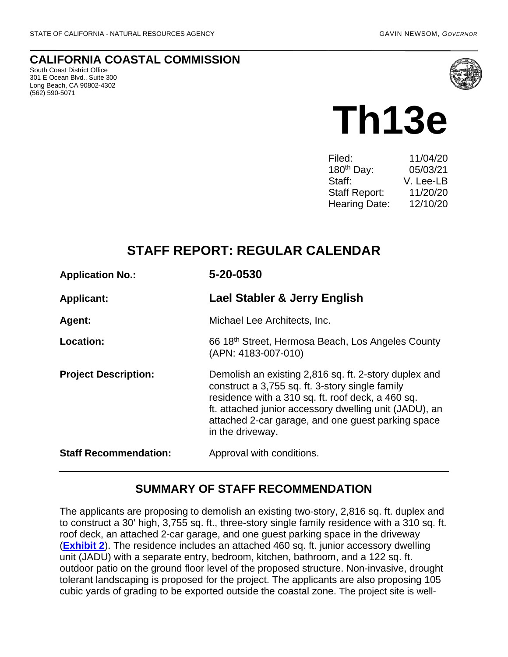#### **CALIFORNIA COASTAL COMMISSION**

South Coast District Office 301 E Ocean Blvd., Suite 300 Long Beach, CA 90802-4302 (562) 590-5071



# **Th13e**

| 11/04/20  |
|-----------|
| 05/03/21  |
| V. Lee-LB |
| 11/20/20  |
| 12/10/20  |
|           |

# **STAFF REPORT: REGULAR CALENDAR**

| <b>Application No.:</b>      | 5-20-0530                                                                                                                                                                                                                                                                                         |  |
|------------------------------|---------------------------------------------------------------------------------------------------------------------------------------------------------------------------------------------------------------------------------------------------------------------------------------------------|--|
| <b>Applicant:</b>            | Lael Stabler & Jerry English                                                                                                                                                                                                                                                                      |  |
| Agent:                       | Michael Lee Architects, Inc.                                                                                                                                                                                                                                                                      |  |
| Location:                    | 66 18th Street, Hermosa Beach, Los Angeles County<br>(APN: 4183-007-010)                                                                                                                                                                                                                          |  |
| <b>Project Description:</b>  | Demolish an existing 2,816 sq. ft. 2-story duplex and<br>construct a 3,755 sq. ft. 3-story single family<br>residence with a 310 sq. ft. roof deck, a 460 sq.<br>ft. attached junior accessory dwelling unit (JADU), an<br>attached 2-car garage, and one guest parking space<br>in the driveway. |  |
| <b>Staff Recommendation:</b> | Approval with conditions.                                                                                                                                                                                                                                                                         |  |

### **SUMMARY OF STAFF RECOMMENDATION**

The applicants are proposing to demolish an existing two-story, 2,816 sq. ft. duplex and to construct a 30' high, 3,755 sq. ft., three-story single family residence with a 310 sq. ft. roof deck, an attached 2-car garage, and one guest parking space in the driveway (**[Exhibit 2](https://documents.coastal.ca.gov/reports/2020/12/Th13e/Th13e-12-2020-exhibits.pdf)**). The residence includes an attached 460 sq. ft. junior accessory dwelling unit (JADU) with a separate entry, bedroom, kitchen, bathroom, and a 122 sq. ft. outdoor patio on the ground floor level of the proposed structure. Non-invasive, drought tolerant landscaping is proposed for the project. The applicants are also proposing 105 cubic yards of grading to be exported outside the coastal zone. The project site is well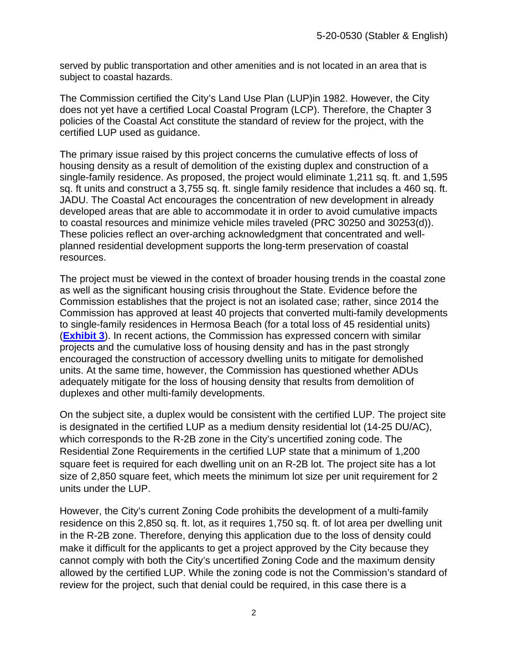served by public transportation and other amenities and is not located in an area that is subject to coastal hazards.

The Commission certified the City's Land Use Plan (LUP)in 1982. However, the City does not yet have a certified Local Coastal Program (LCP). Therefore, the Chapter 3 policies of the Coastal Act constitute the standard of review for the project, with the certified LUP used as guidance.

The primary issue raised by this project concerns the cumulative effects of loss of housing density as a result of demolition of the existing duplex and construction of a single-family residence. As proposed, the project would eliminate 1,211 sq. ft. and 1,595 sq. ft units and construct a 3,755 sq. ft. single family residence that includes a 460 sq. ft. JADU. The Coastal Act encourages the concentration of new development in already developed areas that are able to accommodate it in order to avoid cumulative impacts to coastal resources and minimize vehicle miles traveled (PRC 30250 and 30253(d)). These policies reflect an over-arching acknowledgment that concentrated and wellplanned residential development supports the long-term preservation of coastal resources.

The project must be viewed in the context of broader housing trends in the coastal zone as well as the significant housing crisis throughout the State. Evidence before the Commission establishes that the project is not an isolated case; rather, since 2014 the Commission has approved at least 40 projects that converted multi-family developments to single-family residences in Hermosa Beach (for a total loss of 45 residential units) (**[Exhibit 3](https://documents.coastal.ca.gov/reports/2020/12/Th13e/Th13e-12-2020-exhibits.pdf)**). In recent actions, the Commission has expressed concern with similar projects and the cumulative loss of housing density and has in the past strongly encouraged the construction of accessory dwelling units to mitigate for demolished units. At the same time, however, the Commission has questioned whether ADUs adequately mitigate for the loss of housing density that results from demolition of duplexes and other multi-family developments.

On the subject site, a duplex would be consistent with the certified LUP. The project site is designated in the certified LUP as a medium density residential lot (14-25 DU/AC), which corresponds to the R-2B zone in the City's uncertified zoning code. The Residential Zone Requirements in the certified LUP state that a minimum of 1,200 square feet is required for each dwelling unit on an R-2B lot. The project site has a lot size of 2,850 square feet, which meets the minimum lot size per unit requirement for 2 units under the LUP.

However, the City's current Zoning Code prohibits the development of a multi-family residence on this 2,850 sq. ft. lot, as it requires 1,750 sq. ft. of lot area per dwelling unit in the R-2B zone. Therefore, denying this application due to the loss of density could make it difficult for the applicants to get a project approved by the City because they cannot comply with both the City's uncertified Zoning Code and the maximum density allowed by the certified LUP. While the zoning code is not the Commission's standard of review for the project, such that denial could be required, in this case there is a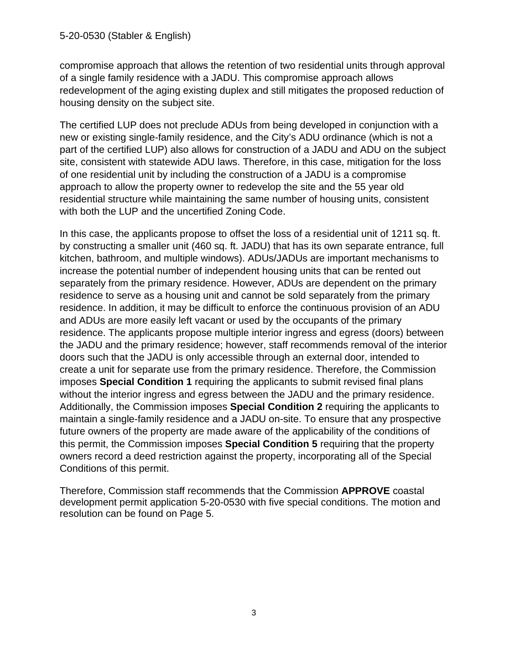#### 5-20-0530 (Stabler & English)

compromise approach that allows the retention of two residential units through approval of a single family residence with a JADU. This compromise approach allows redevelopment of the aging existing duplex and still mitigates the proposed reduction of housing density on the subject site.

The certified LUP does not preclude ADUs from being developed in conjunction with a new or existing single-family residence, and the City's ADU ordinance (which is not a part of the certified LUP) also allows for construction of a JADU and ADU on the subject site, consistent with statewide ADU laws. Therefore, in this case, mitigation for the loss of one residential unit by including the construction of a JADU is a compromise approach to allow the property owner to redevelop the site and the 55 year old residential structure while maintaining the same number of housing units, consistent with both the LUP and the uncertified Zoning Code.

In this case, the applicants propose to offset the loss of a residential unit of 1211 sq. ft. by constructing a smaller unit (460 sq. ft. JADU) that has its own separate entrance, full kitchen, bathroom, and multiple windows). ADUs/JADUs are important mechanisms to increase the potential number of independent housing units that can be rented out separately from the primary residence. However, ADUs are dependent on the primary residence to serve as a housing unit and cannot be sold separately from the primary residence. In addition, it may be difficult to enforce the continuous provision of an ADU and ADUs are more easily left vacant or used by the occupants of the primary residence. The applicants propose multiple interior ingress and egress (doors) between the JADU and the primary residence; however, staff recommends removal of the interior doors such that the JADU is only accessible through an external door, intended to create a unit for separate use from the primary residence. Therefore, the Commission imposes **Special Condition 1** requiring the applicants to submit revised final plans without the interior ingress and egress between the JADU and the primary residence. Additionally, the Commission imposes **Special Condition 2** requiring the applicants to maintain a single-family residence and a JADU on-site. To ensure that any prospective future owners of the property are made aware of the applicability of the conditions of this permit, the Commission imposes **Special Condition 5** requiring that the property owners record a deed restriction against the property, incorporating all of the Special Conditions of this permit.

Therefore, Commission staff recommends that the Commission **APPROVE** coastal development permit application 5-20-0530 with five special conditions. The motion and resolution can be found on Page 5.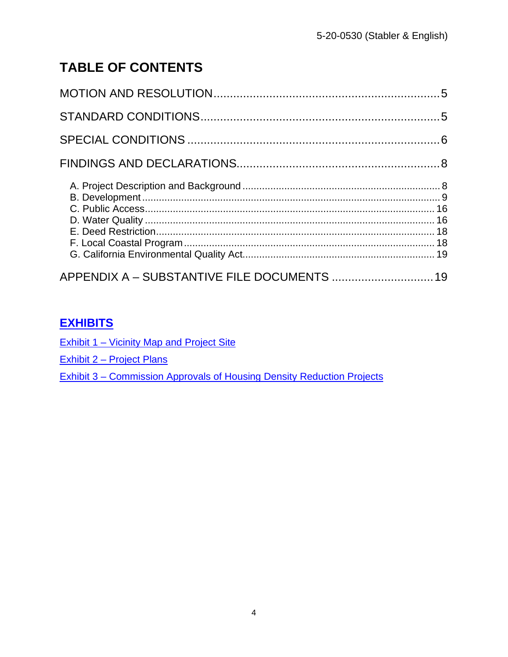# **TABLE OF CONTENTS**

| APPENDIX A - SUBSTANTIVE FILE DOCUMENTS  19 |  |
|---------------------------------------------|--|

# **[EXHIBITS](https://documents.coastal.ca.gov/reports/2020/12/Th13e/Th13e-12-2020-exhibits.pdf)**

Exhibit 1 – Vicinity Map and Project Site

Exhibit 2 – Project Plans

[Exhibit 3 – Commission Approvals of Housing Density Reduction Projects](https://documents.coastal.ca.gov/reports/2020/12/Th13e/Th13e-12-2020-exhibits.pdf)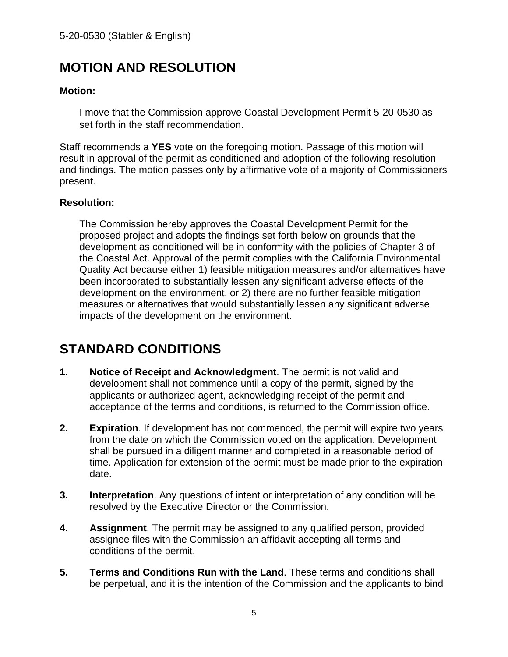# <span id="page-4-0"></span>**MOTION AND RESOLUTION**

#### **Motion:**

I move that the Commission approve Coastal Development Permit 5-20-0530 as set forth in the staff recommendation.

Staff recommends a **YES** vote on the foregoing motion. Passage of this motion will result in approval of the permit as conditioned and adoption of the following resolution and findings. The motion passes only by affirmative vote of a majority of Commissioners present.

#### **Resolution:**

The Commission hereby approves the Coastal Development Permit for the proposed project and adopts the findings set forth below on grounds that the development as conditioned will be in conformity with the policies of Chapter 3 of the Coastal Act. Approval of the permit complies with the California Environmental Quality Act because either 1) feasible mitigation measures and/or alternatives have been incorporated to substantially lessen any significant adverse effects of the development on the environment, or 2) there are no further feasible mitigation measures or alternatives that would substantially lessen any significant adverse impacts of the development on the environment.

# <span id="page-4-1"></span>**STANDARD CONDITIONS**

- **1. Notice of Receipt and Acknowledgment**. The permit is not valid and development shall not commence until a copy of the permit, signed by the applicants or authorized agent, acknowledging receipt of the permit and acceptance of the terms and conditions, is returned to the Commission office.
- **2. Expiration**. If development has not commenced, the permit will expire two years from the date on which the Commission voted on the application. Development shall be pursued in a diligent manner and completed in a reasonable period of time. Application for extension of the permit must be made prior to the expiration date.
- **3. Interpretation**. Any questions of intent or interpretation of any condition will be resolved by the Executive Director or the Commission.
- **4. Assignment**. The permit may be assigned to any qualified person, provided assignee files with the Commission an affidavit accepting all terms and conditions of the permit.
- **5. Terms and Conditions Run with the Land**. These terms and conditions shall be perpetual, and it is the intention of the Commission and the applicants to bind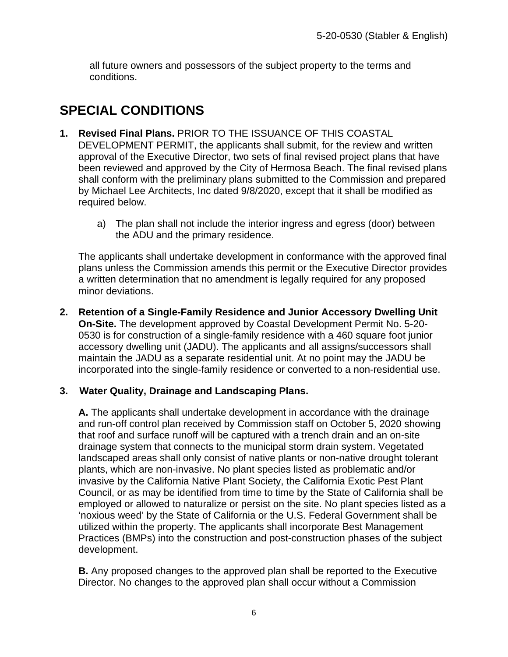all future owners and possessors of the subject property to the terms and conditions.

# <span id="page-5-0"></span>**SPECIAL CONDITIONS**

- **1. Revised Final Plans.** PRIOR TO THE ISSUANCE OF THIS COASTAL DEVELOPMENT PERMIT, the applicants shall submit, for the review and written approval of the Executive Director, two sets of final revised project plans that have been reviewed and approved by the City of Hermosa Beach. The final revised plans shall conform with the preliminary plans submitted to the Commission and prepared by Michael Lee Architects, Inc dated 9/8/2020, except that it shall be modified as required below.
	- a) The plan shall not include the interior ingress and egress (door) between the ADU and the primary residence.

The applicants shall undertake development in conformance with the approved final plans unless the Commission amends this permit or the Executive Director provides a written determination that no amendment is legally required for any proposed minor deviations.

**2. Retention of a Single-Family Residence and Junior Accessory Dwelling Unit On-Site.** The development approved by Coastal Development Permit No. 5-20- 0530 is for construction of a single-family residence with a 460 square foot junior accessory dwelling unit (JADU). The applicants and all assigns/successors shall maintain the JADU as a separate residential unit. At no point may the JADU be incorporated into the single-family residence or converted to a non-residential use.

#### **3. Water Quality, Drainage and Landscaping Plans.**

**A.** The applicants shall undertake development in accordance with the drainage and run-off control plan received by Commission staff on October 5, 2020 showing that roof and surface runoff will be captured with a trench drain and an on-site drainage system that connects to the municipal storm drain system. Vegetated landscaped areas shall only consist of native plants or non-native drought tolerant plants, which are non-invasive. No plant species listed as problematic and/or invasive by the California Native Plant Society, the California Exotic Pest Plant Council, or as may be identified from time to time by the State of California shall be employed or allowed to naturalize or persist on the site. No plant species listed as a 'noxious weed' by the State of California or the U.S. Federal Government shall be utilized within the property. The applicants shall incorporate Best Management Practices (BMPs) into the construction and post-construction phases of the subject development.

**B.** Any proposed changes to the approved plan shall be reported to the Executive Director. No changes to the approved plan shall occur without a Commission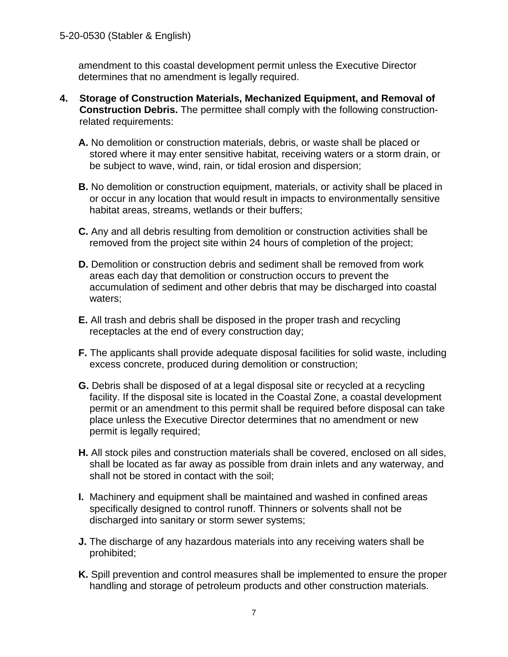amendment to this coastal development permit unless the Executive Director determines that no amendment is legally required.

- **4. Storage of Construction Materials, Mechanized Equipment, and Removal of Construction Debris.** The permittee shall comply with the following constructionrelated requirements:
	- **A.** No demolition or construction materials, debris, or waste shall be placed or stored where it may enter sensitive habitat, receiving waters or a storm drain, or be subject to wave, wind, rain, or tidal erosion and dispersion;
	- **B.** No demolition or construction equipment, materials, or activity shall be placed in or occur in any location that would result in impacts to environmentally sensitive habitat areas, streams, wetlands or their buffers;
	- **C.** Any and all debris resulting from demolition or construction activities shall be removed from the project site within 24 hours of completion of the project;
	- **D.** Demolition or construction debris and sediment shall be removed from work areas each day that demolition or construction occurs to prevent the accumulation of sediment and other debris that may be discharged into coastal waters;
	- **E.** All trash and debris shall be disposed in the proper trash and recycling receptacles at the end of every construction day;
	- **F.** The applicants shall provide adequate disposal facilities for solid waste, including excess concrete, produced during demolition or construction;
	- **G.** Debris shall be disposed of at a legal disposal site or recycled at a recycling facility. If the disposal site is located in the Coastal Zone, a coastal development permit or an amendment to this permit shall be required before disposal can take place unless the Executive Director determines that no amendment or new permit is legally required;
	- **H.** All stock piles and construction materials shall be covered, enclosed on all sides, shall be located as far away as possible from drain inlets and any waterway, and shall not be stored in contact with the soil;
	- **I.** Machinery and equipment shall be maintained and washed in confined areas specifically designed to control runoff. Thinners or solvents shall not be discharged into sanitary or storm sewer systems;
	- **J.** The discharge of any hazardous materials into any receiving waters shall be prohibited;
	- **K.** Spill prevention and control measures shall be implemented to ensure the proper handling and storage of petroleum products and other construction materials.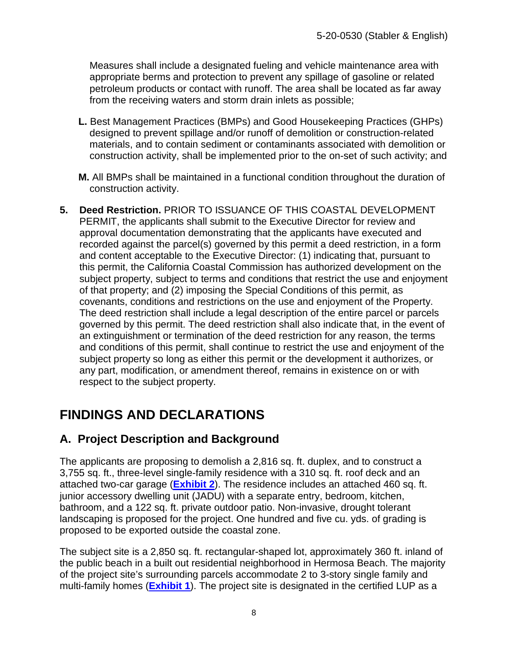Measures shall include a designated fueling and vehicle maintenance area with appropriate berms and protection to prevent any spillage of gasoline or related petroleum products or contact with runoff. The area shall be located as far away from the receiving waters and storm drain inlets as possible;

- **L.** Best Management Practices (BMPs) and Good Housekeeping Practices (GHPs) designed to prevent spillage and/or runoff of demolition or construction-related materials, and to contain sediment or contaminants associated with demolition or construction activity, shall be implemented prior to the on-set of such activity; and
- **M.** All BMPs shall be maintained in a functional condition throughout the duration of construction activity.
- **5. Deed Restriction.** PRIOR TO ISSUANCE OF THIS COASTAL DEVELOPMENT PERMIT, the applicants shall submit to the Executive Director for review and approval documentation demonstrating that the applicants have executed and recorded against the parcel(s) governed by this permit a deed restriction, in a form and content acceptable to the Executive Director: (1) indicating that, pursuant to this permit, the California Coastal Commission has authorized development on the subject property, subject to terms and conditions that restrict the use and enjoyment of that property; and (2) imposing the Special Conditions of this permit, as covenants, conditions and restrictions on the use and enjoyment of the Property. The deed restriction shall include a legal description of the entire parcel or parcels governed by this permit. The deed restriction shall also indicate that, in the event of an extinguishment or termination of the deed restriction for any reason, the terms and conditions of this permit, shall continue to restrict the use and enjoyment of the subject property so long as either this permit or the development it authorizes, or any part, modification, or amendment thereof, remains in existence on or with respect to the subject property.

# <span id="page-7-0"></span>**FINDINGS AND DECLARATIONS**

## <span id="page-7-1"></span>**A. Project Description and Background**

The applicants are proposing to demolish a 2,816 sq. ft. duplex, and to construct a 3,755 sq. ft., three-level single-family residence with a 310 sq. ft. roof deck and an attached two-car garage (**[Exhibit 2](https://documents.coastal.ca.gov/reports/2020/12/Th13e/Th13e-12-2020-exhibits.pdf)**). The residence includes an attached 460 sq. ft. junior accessory dwelling unit (JADU) with a separate entry, bedroom, kitchen, bathroom, and a 122 sq. ft. private outdoor patio. Non-invasive, drought tolerant landscaping is proposed for the project. One hundred and five cu. yds. of grading is proposed to be exported outside the coastal zone.

The subject site is a 2,850 sq. ft. rectangular-shaped lot, approximately 360 ft. inland of the public beach in a built out residential neighborhood in Hermosa Beach. The majority of the project site's surrounding parcels accommodate 2 to 3-story single family and multi-family homes (**[Exhibit 1](https://documents.coastal.ca.gov/reports/2020/12/Th13e/Th13e-12-2020-exhibits.pdf)**). The project site is designated in the certified LUP as a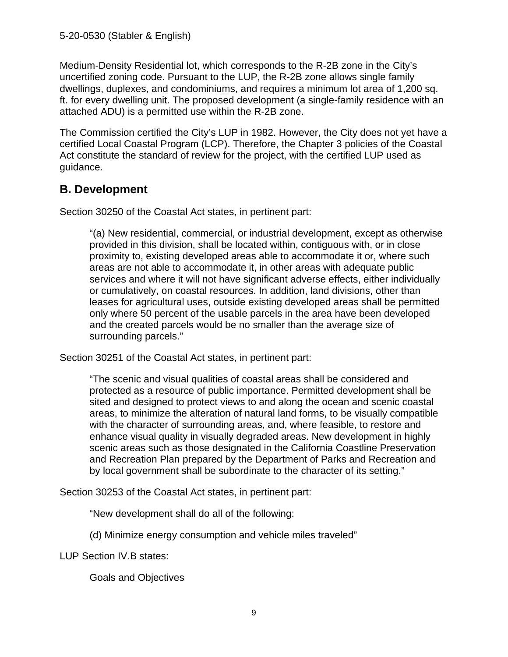Medium-Density Residential lot, which corresponds to the R-2B zone in the City's uncertified zoning code. Pursuant to the LUP, the R-2B zone allows single family dwellings, duplexes, and condominiums, and requires a minimum lot area of 1,200 sq. ft. for every dwelling unit. The proposed development (a single-family residence with an attached ADU) is a permitted use within the R-2B zone.

The Commission certified the City's LUP in 1982. However, the City does not yet have a certified Local Coastal Program (LCP). Therefore, the Chapter 3 policies of the Coastal Act constitute the standard of review for the project, with the certified LUP used as guidance.

## <span id="page-8-0"></span>**B. Development**

Section 30250 of the Coastal Act states, in pertinent part:

"(a) New residential, commercial, or industrial development, except as otherwise provided in this division, shall be located within, contiguous with, or in close proximity to, existing developed areas able to accommodate it or, where such areas are not able to accommodate it, in other areas with adequate public services and where it will not have significant adverse effects, either individually or cumulatively, on coastal resources. In addition, land divisions, other than leases for agricultural uses, outside existing developed areas shall be permitted only where 50 percent of the usable parcels in the area have been developed and the created parcels would be no smaller than the average size of surrounding parcels."

Section 30251 of the Coastal Act states, in pertinent part:

"The scenic and visual qualities of coastal areas shall be considered and protected as a resource of public importance. Permitted development shall be sited and designed to protect views to and along the ocean and scenic coastal areas, to minimize the alteration of natural land forms, to be visually compatible with the character of surrounding areas, and, where feasible, to restore and enhance visual quality in visually degraded areas. New development in highly scenic areas such as those designated in the California Coastline Preservation and Recreation Plan prepared by the Department of Parks and Recreation and by local government shall be subordinate to the character of its setting."

Section 30253 of the Coastal Act states, in pertinent part:

"New development shall do all of the following:

(d) Minimize energy consumption and vehicle miles traveled"

LUP Section IV.B states:

Goals and Objectives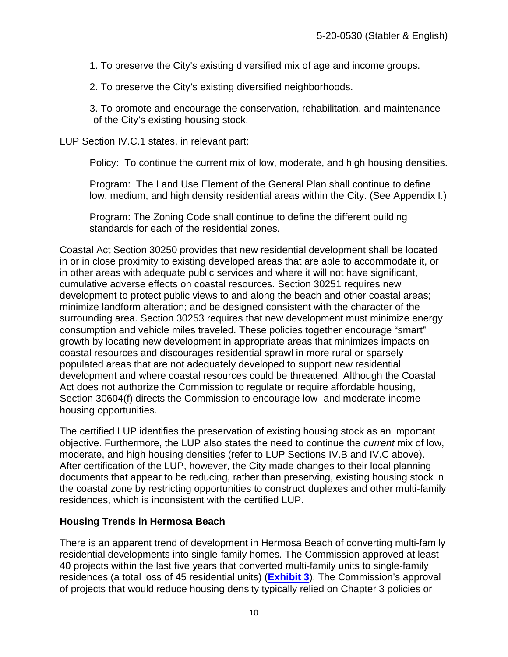1. To preserve the City's existing diversified mix of age and income groups.

2. To preserve the City's existing diversified neighborhoods.

3. To promote and encourage the conservation, rehabilitation, and maintenance of the City's existing housing stock.

LUP Section IV.C.1 states, in relevant part:

Policy: To continue the current mix of low, moderate, and high housing densities.

Program: The Land Use Element of the General Plan shall continue to define low, medium, and high density residential areas within the City. (See Appendix I.)

Program: The Zoning Code shall continue to define the different building standards for each of the residential zones.

Coastal Act Section 30250 provides that new residential development shall be located in or in close proximity to existing developed areas that are able to accommodate it, or in other areas with adequate public services and where it will not have significant, cumulative adverse effects on coastal resources. Section 30251 requires new development to protect public views to and along the beach and other coastal areas; minimize landform alteration; and be designed consistent with the character of the surrounding area. Section 30253 requires that new development must minimize energy consumption and vehicle miles traveled. These policies together encourage "smart" growth by locating new development in appropriate areas that minimizes impacts on coastal resources and discourages residential sprawl in more rural or sparsely populated areas that are not adequately developed to support new residential development and where coastal resources could be threatened. Although the Coastal Act does not authorize the Commission to regulate or require affordable housing, Section 30604(f) directs the Commission to encourage low- and moderate-income housing opportunities.

The certified LUP identifies the preservation of existing housing stock as an important objective. Furthermore, the LUP also states the need to continue the *current* mix of low, moderate, and high housing densities (refer to LUP Sections IV.B and IV.C above). After certification of the LUP, however, the City made changes to their local planning documents that appear to be reducing, rather than preserving, existing housing stock in the coastal zone by restricting opportunities to construct duplexes and other multi-family residences, which is inconsistent with the certified LUP.

#### **Housing Trends in Hermosa Beach**

There is an apparent trend of development in Hermosa Beach of converting multi-family residential developments into single-family homes. The Commission approved at least 40 projects within the last five years that converted multi-family units to single-family residences (a total loss of 45 residential units) (**[Exhibit 3](https://documents.coastal.ca.gov/reports/2020/12/Th13e/Th13e-12-2020-exhibits.pdf)**). The Commission's approval of projects that would reduce housing density typically relied on Chapter 3 policies or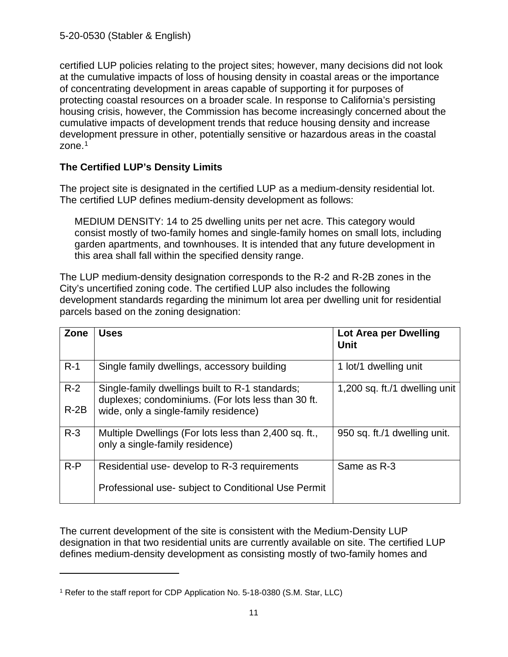certified LUP policies relating to the project sites; however, many decisions did not look at the cumulative impacts of loss of housing density in coastal areas or the importance of concentrating development in areas capable of supporting it for purposes of protecting coastal resources on a broader scale. In response to California's persisting housing crisis, however, the Commission has become increasingly concerned about the cumulative impacts of development trends that reduce housing density and increase development pressure in other, potentially sensitive or hazardous areas in the coastal zone.<sup>[1](#page-10-0)</sup>

#### **The Certified LUP's Density Limits**

The project site is designated in the certified LUP as a medium-density residential lot. The certified LUP defines medium-density development as follows:

MEDIUM DENSITY: 14 to 25 dwelling units per net acre. This category would consist mostly of two-family homes and single-family homes on small lots, including garden apartments, and townhouses. It is intended that any future development in this area shall fall within the specified density range.

The LUP medium-density designation corresponds to the R-2 and R-2B zones in the City's uncertified zoning code. The certified LUP also includes the following development standards regarding the minimum lot area per dwelling unit for residential parcels based on the zoning designation:

| Zone   | <b>Uses</b>                                                                                           | Lot Area per Dwelling<br><b>Unit</b> |
|--------|-------------------------------------------------------------------------------------------------------|--------------------------------------|
| $R-1$  | Single family dwellings, accessory building                                                           | 1 lot/1 dwelling unit                |
| $R-2$  | Single-family dwellings built to R-1 standards;<br>duplexes; condominiums. (For lots less than 30 ft. | 1,200 sq. ft./1 dwelling unit        |
| $R-2B$ | wide, only a single-family residence)                                                                 |                                      |
| $R-3$  | Multiple Dwellings (For lots less than 2,400 sq. ft.,<br>only a single-family residence)              | 950 sq. ft./1 dwelling unit.         |
| $R-P$  | Residential use- develop to R-3 requirements                                                          | Same as R-3                          |
|        | Professional use-subject to Conditional Use Permit                                                    |                                      |

The current development of the site is consistent with the Medium-Density LUP designation in that two residential units are currently available on site. The certified LUP defines medium-density development as consisting mostly of two-family homes and

<span id="page-10-0"></span><sup>&</sup>lt;sup>1</sup> Refer to the staff report for CDP Application No. 5-18-0380 (S.M. Star, LLC)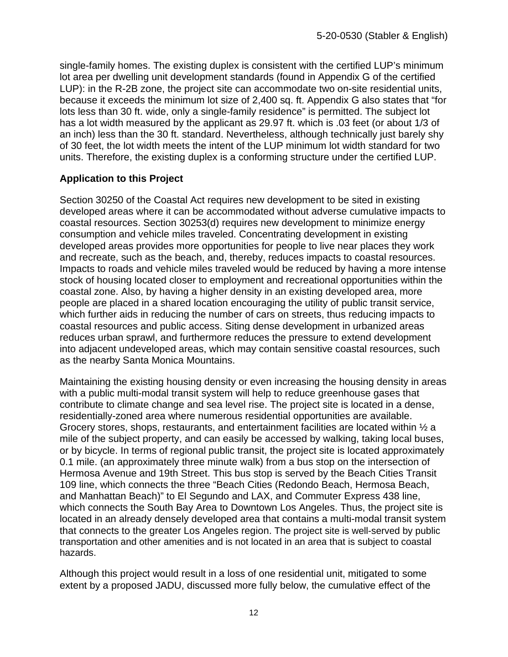single-family homes. The existing duplex is consistent with the certified LUP's minimum lot area per dwelling unit development standards (found in Appendix G of the certified LUP): in the R-2B zone, the project site can accommodate two on-site residential units, because it exceeds the minimum lot size of 2,400 sq. ft. Appendix G also states that "for lots less than 30 ft. wide, only a single-family residence" is permitted. The subject lot has a lot width measured by the applicant as 29.97 ft. which is .03 feet (or about 1/3 of an inch) less than the 30 ft. standard. Nevertheless, although technically just barely shy of 30 feet, the lot width meets the intent of the LUP minimum lot width standard for two units. Therefore, the existing duplex is a conforming structure under the certified LUP.

#### **Application to this Project**

Section 30250 of the Coastal Act requires new development to be sited in existing developed areas where it can be accommodated without adverse cumulative impacts to coastal resources. Section 30253(d) requires new development to minimize energy consumption and vehicle miles traveled. Concentrating development in existing developed areas provides more opportunities for people to live near places they work and recreate, such as the beach, and, thereby, reduces impacts to coastal resources. Impacts to roads and vehicle miles traveled would be reduced by having a more intense stock of housing located closer to employment and recreational opportunities within the coastal zone. Also, by having a higher density in an existing developed area, more people are placed in a shared location encouraging the utility of public transit service, which further aids in reducing the number of cars on streets, thus reducing impacts to coastal resources and public access. Siting dense development in urbanized areas reduces urban sprawl, and furthermore reduces the pressure to extend development into adjacent undeveloped areas, which may contain sensitive coastal resources, such as the nearby Santa Monica Mountains.

Maintaining the existing housing density or even increasing the housing density in areas with a public multi-modal transit system will help to reduce greenhouse gases that contribute to climate change and sea level rise. The project site is located in a dense, residentially-zoned area where numerous residential opportunities are available. Grocery stores, shops, restaurants, and entertainment facilities are located within  $\frac{1}{2}$  a mile of the subject property, and can easily be accessed by walking, taking local buses, or by bicycle. In terms of regional public transit, the project site is located approximately 0.1 mile. (an approximately three minute walk) from a bus stop on the intersection of Hermosa Avenue and 19th Street. This bus stop is served by the Beach Cities Transit 109 line, which connects the three "Beach Cities (Redondo Beach, Hermosa Beach, and Manhattan Beach)" to El Segundo and LAX, and Commuter Express 438 line, which connects the South Bay Area to Downtown Los Angeles. Thus, the project site is located in an already densely developed area that contains a multi-modal transit system that connects to the greater Los Angeles region. The project site is well-served by public transportation and other amenities and is not located in an area that is subject to coastal hazards.

Although this project would result in a loss of one residential unit, mitigated to some extent by a proposed JADU, discussed more fully below, the cumulative effect of the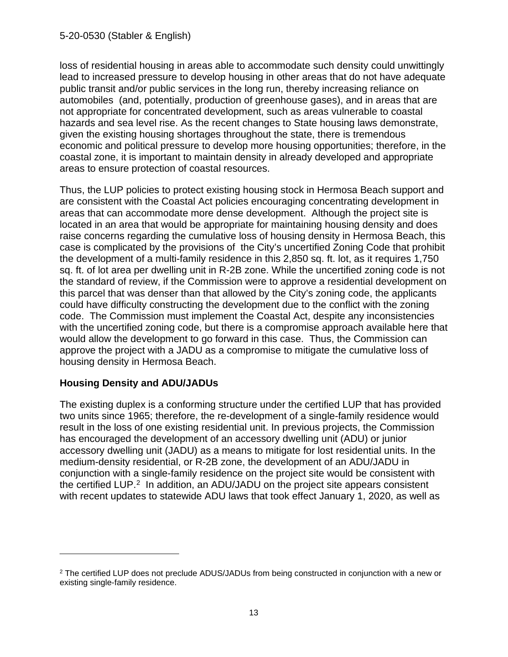loss of residential housing in areas able to accommodate such density could unwittingly lead to increased pressure to develop housing in other areas that do not have adequate public transit and/or public services in the long run, thereby increasing reliance on automobiles (and, potentially, production of greenhouse gases), and in areas that are not appropriate for concentrated development, such as areas vulnerable to coastal hazards and sea level rise. As the recent changes to State housing laws demonstrate, given the existing housing shortages throughout the state, there is tremendous economic and political pressure to develop more housing opportunities; therefore, in the coastal zone, it is important to maintain density in already developed and appropriate areas to ensure protection of coastal resources.

Thus, the LUP policies to protect existing housing stock in Hermosa Beach support and are consistent with the Coastal Act policies encouraging concentrating development in areas that can accommodate more dense development. Although the project site is located in an area that would be appropriate for maintaining housing density and does raise concerns regarding the cumulative loss of housing density in Hermosa Beach, this case is complicated by the provisions of the City's uncertified Zoning Code that prohibit the development of a multi-family residence in this 2,850 sq. ft. lot, as it requires 1,750 sq. ft. of lot area per dwelling unit in R-2B zone. While the uncertified zoning code is not the standard of review, if the Commission were to approve a residential development on this parcel that was denser than that allowed by the City's zoning code, the applicants could have difficulty constructing the development due to the conflict with the zoning code. The Commission must implement the Coastal Act, despite any inconsistencies with the uncertified zoning code, but there is a compromise approach available here that would allow the development to go forward in this case. Thus, the Commission can approve the project with a JADU as a compromise to mitigate the cumulative loss of housing density in Hermosa Beach.

#### **Housing Density and ADU/JADUs**

The existing duplex is a conforming structure under the certified LUP that has provided two units since 1965; therefore, the re-development of a single-family residence would result in the loss of one existing residential unit. In previous projects, the Commission has encouraged the development of an accessory dwelling unit (ADU) or junior accessory dwelling unit (JADU) as a means to mitigate for lost residential units. In the medium-density residential, or R-2B zone, the development of an ADU/JADU in conjunction with a single-family residence on the project site would be consistent with the certified LUP. [2](#page-12-0) In addition, an ADU/JADU on the project site appears consistent with recent updates to statewide ADU laws that took effect January 1, 2020, as well as

<span id="page-12-0"></span><sup>&</sup>lt;sup>2</sup> The certified LUP does not preclude ADUS/JADUs from being constructed in conjunction with a new or existing single-family residence.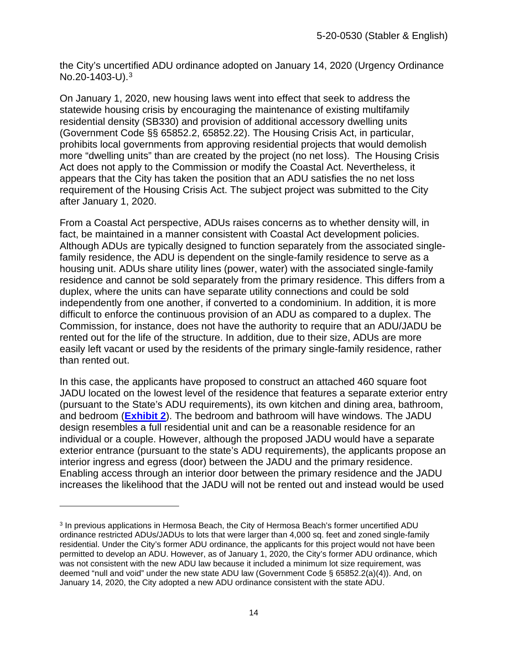the City's uncertified ADU ordinance adopted on January 14, 2020 (Urgency Ordinance No.20-1403-U).[3](#page-13-0)

On January 1, 2020, new housing laws went into effect that seek to address the statewide housing crisis by encouraging the maintenance of existing multifamily residential density (SB330) and provision of additional accessory dwelling units (Government Code §§ 65852.2, 65852.22). The Housing Crisis Act, in particular, prohibits local governments from approving residential projects that would demolish more "dwelling units" than are created by the project (no net loss). The Housing Crisis Act does not apply to the Commission or modify the Coastal Act. Nevertheless, it appears that the City has taken the position that an ADU satisfies the no net loss requirement of the Housing Crisis Act. The subject project was submitted to the City after January 1, 2020.

From a Coastal Act perspective, ADUs raises concerns as to whether density will, in fact, be maintained in a manner consistent with Coastal Act development policies. Although ADUs are typically designed to function separately from the associated singlefamily residence, the ADU is dependent on the single-family residence to serve as a housing unit. ADUs share utility lines (power, water) with the associated single-family residence and cannot be sold separately from the primary residence. This differs from a duplex, where the units can have separate utility connections and could be sold independently from one another, if converted to a condominium. In addition, it is more difficult to enforce the continuous provision of an ADU as compared to a duplex. The Commission, for instance, does not have the authority to require that an ADU/JADU be rented out for the life of the structure. In addition, due to their size, ADUs are more easily left vacant or used by the residents of the primary single-family residence, rather than rented out.

In this case, the applicants have proposed to construct an attached 460 square foot JADU located on the lowest level of the residence that features a separate exterior entry (pursuant to the State's ADU requirements), its own kitchen and dining area, bathroom, and bedroom (**[Exhibit 2](https://documents.coastal.ca.gov/reports/2020/12/Th13e/Th13e-12-2020-exhibits.pdf)**). The bedroom and bathroom will have windows. The JADU design resembles a full residential unit and can be a reasonable residence for an individual or a couple. However, although the proposed JADU would have a separate exterior entrance (pursuant to the state's ADU requirements), the applicants propose an interior ingress and egress (door) between the JADU and the primary residence. Enabling access through an interior door between the primary residence and the JADU increases the likelihood that the JADU will not be rented out and instead would be used

<span id="page-13-0"></span><sup>3</sup> In previous applications in Hermosa Beach, the City of Hermosa Beach's former uncertified ADU ordinance restricted ADUs/JADUs to lots that were larger than 4,000 sq. feet and zoned single-family residential. Under the City's former ADU ordinance, the applicants for this project would not have been permitted to develop an ADU. However, as of January 1, 2020, the City's former ADU ordinance, which was not consistent with the new ADU law because it included a minimum lot size requirement, was deemed "null and void" under the new state ADU law (Government Code § 65852.2(a)(4)). And, on January 14, 2020, the City adopted a new ADU ordinance consistent with the state ADU.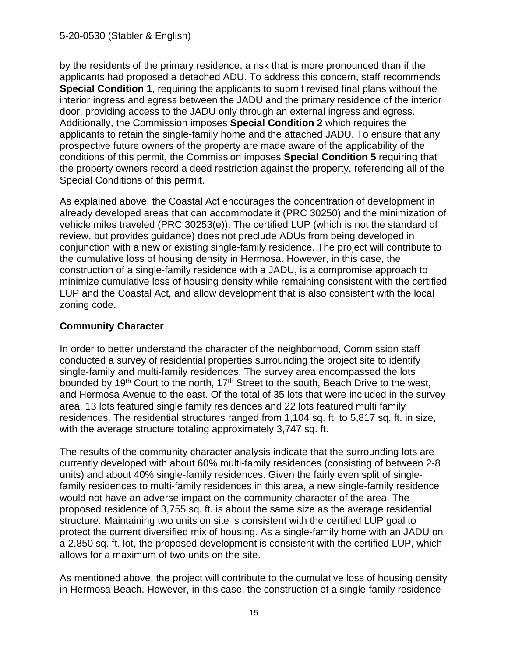by the residents of the primary residence, a risk that is more pronounced than if the applicants had proposed a detached ADU. To address this concern, staff recommends **Special Condition 1**, requiring the applicants to submit revised final plans without the interior ingress and egress between the JADU and the primary residence of the interior door, providing access to the JADU only through an external ingress and egress. Additionally, the Commission imposes **Special Condition 2** which requires the applicants to retain the single-family home and the attached JADU. To ensure that any prospective future owners of the property are made aware of the applicability of the conditions of this permit, the Commission imposes **Special Condition 5** requiring that the property owners record a deed restriction against the property, referencing all of the Special Conditions of this permit.

As explained above, the Coastal Act encourages the concentration of development in already developed areas that can accommodate it (PRC 30250) and the minimization of vehicle miles traveled (PRC 30253(e)). The certified LUP (which is not the standard of review, but provides guidance) does not preclude ADUs from being developed in conjunction with a new or existing single-family residence. The project will contribute to the cumulative loss of housing density in Hermosa. However, in this case, the construction of a single-family residence with a JADU, is a compromise approach to minimize cumulative loss of housing density while remaining consistent with the certified LUP and the Coastal Act, and allow development that is also consistent with the local zoning code.

#### **Community Character**

In order to better understand the character of the neighborhood, Commission staff conducted a survey of residential properties surrounding the project site to identify single-family and multi-family residences. The survey area encompassed the lots bounded by 19<sup>th</sup> Court to the north, 17<sup>th</sup> Street to the south, Beach Drive to the west, and Hermosa Avenue to the east. Of the total of 35 lots that were included in the survey area, 13 lots featured single family residences and 22 lots featured multi family residences. The residential structures ranged from 1,104 sq. ft. to 5,817 sq. ft. in size, with the average structure totaling approximately 3,747 sq. ft.

The results of the community character analysis indicate that the surrounding lots are currently developed with about 60% multi-family residences (consisting of between 2-8 units) and about 40% single-family residences. Given the fairly even split of singlefamily residences to multi-family residences in this area, a new single-family residence would not have an adverse impact on the community character of the area. The proposed residence of 3,755 sq. ft. is about the same size as the average residential structure. Maintaining two units on site is consistent with the certified LUP goal to protect the current diversified mix of housing. As a single-family home with an JADU on a 2,850 sq. ft. lot, the proposed development is consistent with the certified LUP, which allows for a maximum of two units on the site.

As mentioned above, the project will contribute to the cumulative loss of housing density in Hermosa Beach. However, in this case, the construction of a single-family residence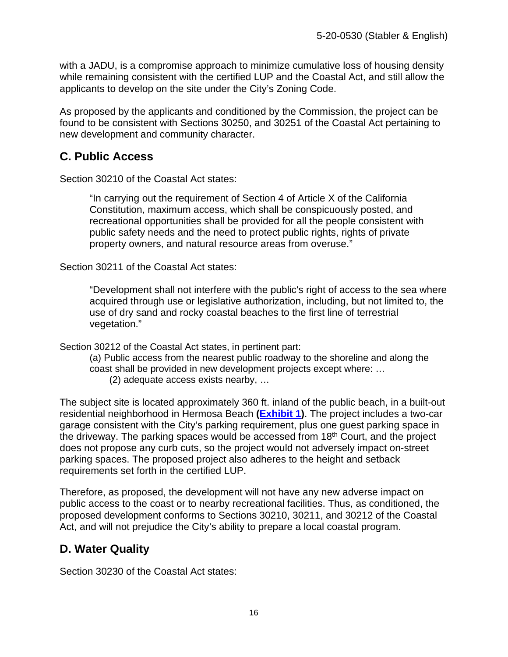with a JADU, is a compromise approach to minimize cumulative loss of housing density while remaining consistent with the certified LUP and the Coastal Act, and still allow the applicants to develop on the site under the City's Zoning Code.

As proposed by the applicants and conditioned by the Commission, the project can be found to be consistent with Sections 30250, and 30251 of the Coastal Act pertaining to new development and community character.

## <span id="page-15-0"></span>**C. Public Access**

Section 30210 of the Coastal Act states:

"In carrying out the requirement of Section 4 of Article X of the California Constitution, maximum access, which shall be conspicuously posted, and recreational opportunities shall be provided for all the people consistent with public safety needs and the need to protect public rights, rights of private property owners, and natural resource areas from overuse."

Section 30211 of the Coastal Act states:

"Development shall not interfere with the public's right of access to the sea where acquired through use or legislative authorization, including, but not limited to, the use of dry sand and rocky coastal beaches to the first line of terrestrial vegetation."

Section 30212 of the Coastal Act states, in pertinent part:

(a) Public access from the nearest public roadway to the shoreline and along the coast shall be provided in new development projects except where: … (2) adequate access exists nearby, …

The subject site is located approximately 360 ft. inland of the public beach, in a built-out residential neighborhood in Hermosa Beach **[\(Exhibit 1\)](https://documents.coastal.ca.gov/reports/2020/12/Th13e/Th13e-12-2020-exhibits.pdf)**. The project includes a two-car garage consistent with the City's parking requirement, plus one guest parking space in the driveway. The parking spaces would be accessed from 18th Court, and the project does not propose any curb cuts, so the project would not adversely impact on-street parking spaces. The proposed project also adheres to the height and setback requirements set forth in the certified LUP.

Therefore, as proposed, the development will not have any new adverse impact on public access to the coast or to nearby recreational facilities. Thus, as conditioned, the proposed development conforms to Sections 30210, 30211, and 30212 of the Coastal Act, and will not prejudice the City's ability to prepare a local coastal program.

## <span id="page-15-1"></span>**D. Water Quality**

Section 30230 of the Coastal Act states: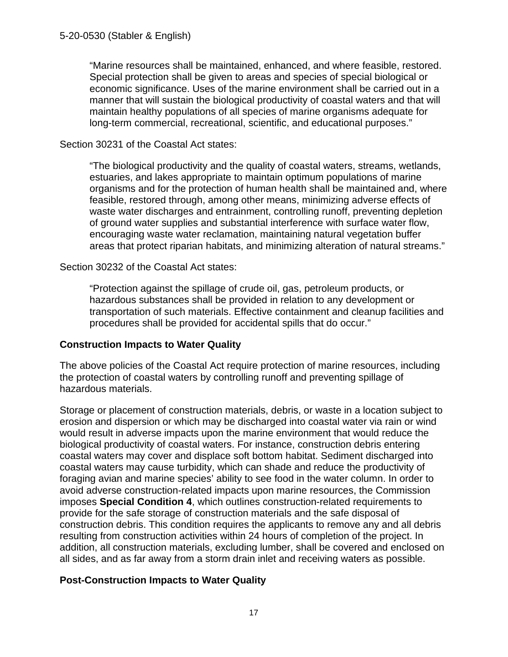"Marine resources shall be maintained, enhanced, and where feasible, restored. Special protection shall be given to areas and species of special biological or economic significance. Uses of the marine environment shall be carried out in a manner that will sustain the biological productivity of coastal waters and that will maintain healthy populations of all species of marine organisms adequate for long-term commercial, recreational, scientific, and educational purposes."

#### Section 30231 of the Coastal Act states:

"The biological productivity and the quality of coastal waters, streams, wetlands, estuaries, and lakes appropriate to maintain optimum populations of marine organisms and for the protection of human health shall be maintained and, where feasible, restored through, among other means, minimizing adverse effects of waste water discharges and entrainment, controlling runoff, preventing depletion of ground water supplies and substantial interference with surface water flow, encouraging waste water reclamation, maintaining natural vegetation buffer areas that protect riparian habitats, and minimizing alteration of natural streams."

#### Section 30232 of the Coastal Act states:

"Protection against the spillage of crude oil, gas, petroleum products, or hazardous substances shall be provided in relation to any development or transportation of such materials. Effective containment and cleanup facilities and procedures shall be provided for accidental spills that do occur."

#### **Construction Impacts to Water Quality**

The above policies of the Coastal Act require protection of marine resources, including the protection of coastal waters by controlling runoff and preventing spillage of hazardous materials.

Storage or placement of construction materials, debris, or waste in a location subject to erosion and dispersion or which may be discharged into coastal water via rain or wind would result in adverse impacts upon the marine environment that would reduce the biological productivity of coastal waters. For instance, construction debris entering coastal waters may cover and displace soft bottom habitat. Sediment discharged into coastal waters may cause turbidity, which can shade and reduce the productivity of foraging avian and marine species' ability to see food in the water column. In order to avoid adverse construction-related impacts upon marine resources, the Commission imposes **Special Condition 4**, which outlines construction-related requirements to provide for the safe storage of construction materials and the safe disposal of construction debris. This condition requires the applicants to remove any and all debris resulting from construction activities within 24 hours of completion of the project. In addition, all construction materials, excluding lumber, shall be covered and enclosed on all sides, and as far away from a storm drain inlet and receiving waters as possible.

#### **Post-Construction Impacts to Water Quality**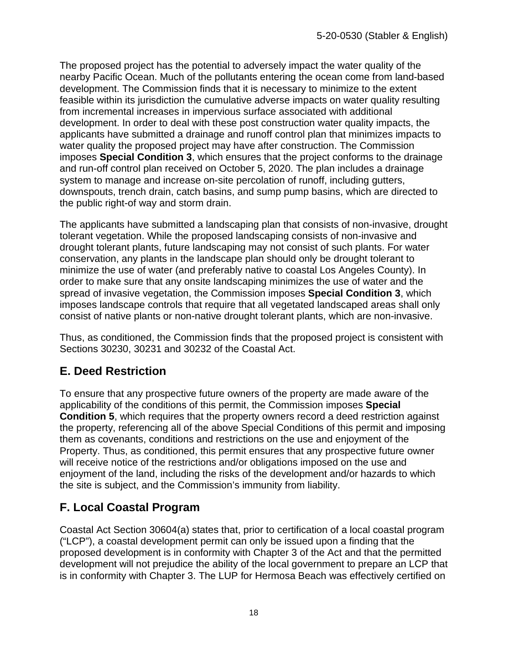The proposed project has the potential to adversely impact the water quality of the nearby Pacific Ocean. Much of the pollutants entering the ocean come from land-based development. The Commission finds that it is necessary to minimize to the extent feasible within its jurisdiction the cumulative adverse impacts on water quality resulting from incremental increases in impervious surface associated with additional development. In order to deal with these post construction water quality impacts, the applicants have submitted a drainage and runoff control plan that minimizes impacts to water quality the proposed project may have after construction. The Commission imposes **Special Condition 3**, which ensures that the project conforms to the drainage and run-off control plan received on October 5, 2020. The plan includes a drainage system to manage and increase on-site percolation of runoff, including gutters, downspouts, trench drain, catch basins, and sump pump basins, which are directed to the public right-of way and storm drain.

The applicants have submitted a landscaping plan that consists of non-invasive, drought tolerant vegetation. While the proposed landscaping consists of non-invasive and drought tolerant plants, future landscaping may not consist of such plants. For water conservation, any plants in the landscape plan should only be drought tolerant to minimize the use of water (and preferably native to coastal Los Angeles County). In order to make sure that any onsite landscaping minimizes the use of water and the spread of invasive vegetation, the Commission imposes **Special Condition 3**, which imposes landscape controls that require that all vegetated landscaped areas shall only consist of native plants or non-native drought tolerant plants, which are non-invasive.

Thus, as conditioned, the Commission finds that the proposed project is consistent with Sections 30230, 30231 and 30232 of the Coastal Act.

# <span id="page-17-0"></span>**E. Deed Restriction**

To ensure that any prospective future owners of the property are made aware of the applicability of the conditions of this permit, the Commission imposes **Special Condition 5**, which requires that the property owners record a deed restriction against the property, referencing all of the above Special Conditions of this permit and imposing them as covenants, conditions and restrictions on the use and enjoyment of the Property. Thus, as conditioned, this permit ensures that any prospective future owner will receive notice of the restrictions and/or obligations imposed on the use and enjoyment of the land, including the risks of the development and/or hazards to which the site is subject, and the Commission's immunity from liability.

# <span id="page-17-1"></span>**F. Local Coastal Program**

Coastal Act Section 30604(a) states that, prior to certification of a local coastal program ("LCP"), a coastal development permit can only be issued upon a finding that the proposed development is in conformity with Chapter 3 of the Act and that the permitted development will not prejudice the ability of the local government to prepare an LCP that is in conformity with Chapter 3. The LUP for Hermosa Beach was effectively certified on